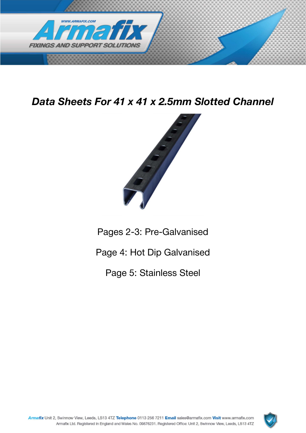

Data Sheets For 41 x 41 x 2.5mm Slotted Channel



Pages 2-3: Pre-Galvanised

Page 4: Hot Dip Galvanised

Page 5: Stainless Steel

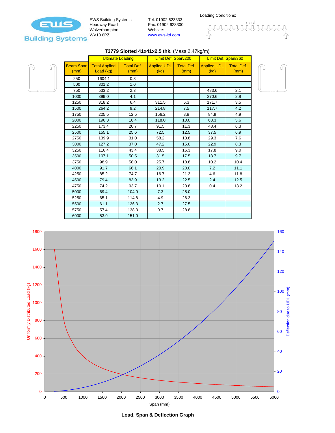

EWS Building Systems Headway Road Wolverhampton WV10 6PZ

Tel. 01902 623333 Fax: 01902 623300 Website: www.ews-ltd.com

Loading Conditions:

### **T3779 Slotted 41x41x2.5 thk.** (Mass 2.47kg/m)



|                          | <b>Ultimate Loading</b>           |                           | Limit Def. Span/200        |                           | Limit Def. Span/360        |                           |
|--------------------------|-----------------------------------|---------------------------|----------------------------|---------------------------|----------------------------|---------------------------|
| <b>Beam Span</b><br>(mm) | <b>Total Applied</b><br>Load (kg) | <b>Total Def.</b><br>(mm) | <b>Applied UDL</b><br>(kg) | <b>Total Def.</b><br>(mm) | <b>Applied UDL</b><br>(kg) | <b>Total Def.</b><br>(mm) |
| 250                      | 1604.1                            | 0.3                       |                            |                           |                            |                           |
| 500                      | 801.2                             | 1.0                       |                            |                           |                            |                           |
| 750                      | 533.2                             | 2.3                       |                            |                           | 483.6                      | 2.1                       |
| 1000                     | 399.0                             | 4.1                       |                            |                           | 270.6                      | 2.8                       |
| 1250                     | 318.2                             | 6.4                       | 311.5                      | 6.3                       | 171.7                      | 3.5                       |
| 1500                     | 264.2                             | 9.2                       | 214.8                      | 7.5                       | 117.7                      | 4.2                       |
| 1750                     | 225.5                             | 12.5                      | 156.2                      | 8.8                       | 84.9                       | 4.9                       |
| 2000                     | 196.3                             | 16.4                      | 118.0                      | 10.0                      | 63.3                       | 5.6                       |
| 2250                     | 173.4                             | 20.7                      | 91.5                       | 11.3                      | 48.4                       | 6.3                       |
| 2500                     | 155.1                             | 25.6                      | 72.5                       | 12.5                      | 37.5                       | 6.9                       |
| 2750                     | 139.9                             | 31.0                      | 58.2                       | 13.8                      | 29.3                       | 7.6                       |
| 3000                     | 127.2                             | 37.0                      | 47.2                       | 15.0                      | 22.9                       | 8.3                       |
| 3250                     | 116.4                             | 43.4                      | 38.5                       | 16.3                      | 17.8                       | 9.0                       |
| 3500                     | 107.1                             | 50.5                      | 31.5                       | 17.5                      | 13.7                       | 9.7                       |
| 3750                     | 98.9                              | 58.0                      | 25.7                       | 18.8                      | 10.2                       | 10.4                      |
| 4000                     | 91.7                              | 66.1                      | 20.9                       | 20.0                      | 7.2                        | 11.1                      |
| 4250                     | 85.2                              | 74.7                      | 16.7                       | 21.3                      | 4.6                        | 11.8                      |
| 4500                     | 79.4                              | 83.9                      | 13.2                       | 22.5                      | 2.4                        | 12.5                      |
| 4750                     | 74.2                              | 93.7                      | 10.1                       | 23.8                      | 0.4                        | 13.2                      |
| 5000                     | 69.4                              | 104.0                     | 7.3                        | 25.0                      |                            |                           |
| 5250                     | 65.1                              | 114.8                     | 4.9                        | 26.3                      |                            |                           |
| 5500                     | 61.1                              | 126.3                     | 2.7                        | 27.5                      |                            |                           |
| 5750                     | 57.4                              | 138.3                     | 0.7                        | 28.8                      |                            |                           |
| 6000                     | 53.9                              | 151.0                     |                            |                           |                            |                           |





**Load, Span & Deflection Graph**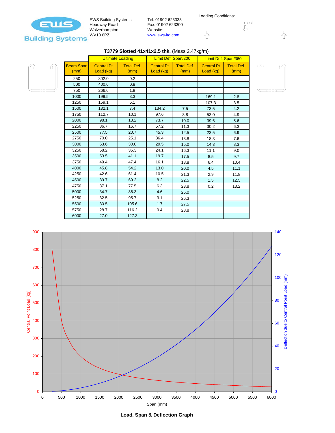

EWS Building Systems Headway Road Wolverhampton WV10 6PZ

Г

Tel. 01902 623333 Fax: 01902 623300 Website: www.ews-ltd.com



## **T3779 Slotted 41x41x2.5 thk.** (Mass 2.47kg/m)



|                          | <b>Ultimate Loading</b>        |                           | Limit Def. Span/200            |                           | Limit Def. Span/360            |                           |
|--------------------------|--------------------------------|---------------------------|--------------------------------|---------------------------|--------------------------------|---------------------------|
| <b>Beam Span</b><br>(mm) | <b>Central Pt</b><br>Load (kg) | <b>Total Def.</b><br>(mm) | <b>Central Pt</b><br>Load (kg) | <b>Total Def.</b><br>(mm) | <b>Central Pt</b><br>Load (kg) | <b>Total Def.</b><br>(mm) |
| 250                      | 802.0                          | 0.2                       |                                |                           |                                |                           |
| 500                      | 400.6                          | 0.8                       |                                |                           |                                |                           |
| 750                      | 266.6                          | 1.8                       |                                |                           |                                |                           |
| 1000                     | 199.5                          | 3.3                       |                                |                           | 169.1                          | 2.8                       |
| 1250                     | 159.1                          | 5.1                       |                                |                           | 107.3                          | 3.5                       |
| 1500                     | 132.1                          | 7.4                       | 134.2                          | 7.5                       | 73.5                           | 4.2                       |
| 1750                     | 112.7                          | 10.1                      | 97.6                           | 8.8                       | 53.0                           | 4.9                       |
| 2000                     | 98.1                           | 13.2                      | 73.7                           | 10.0                      | 39.6                           | 5.6                       |
| 2250                     | 86.7                           | 16.7                      | 57.2                           | 11.3                      | 30.2                           | 6.3                       |
| 2500                     | 77.5                           | 20.7                      | 45.3                           | 12.5                      | 23.5                           | 6.9                       |
| 2750                     | 70.0                           | 25.1                      | 36.4                           | 13.8                      | 18.3                           | 7.6                       |
| 3000                     | 63.6                           | 30.0                      | 29.5                           | 15.0                      | 14.3                           | 8.3                       |
| 3250                     | 58.2                           | 35.3                      | 24.1                           | 16.3                      | 11.1                           | 9.0                       |
| 3500                     | 53.5                           | 41.1                      | 19.7                           | 17.5                      | 8.5                            | 9.7                       |
| 3750                     | 49.4                           | 47.4                      | 16.1                           | 18.8                      | 6.4                            | 10.4                      |
| 4000                     | 45.8                           | 54.2                      | 13.0                           | 20.0                      | 4.5                            | 11.1                      |
| 4250                     | 42.6                           | 61.4                      | 10.5                           | 21.3                      | 2.9                            | 11.8                      |
| 4500                     | 39.7                           | 69.2                      | 8.2                            | 22.5                      | 1.5                            | 12.5                      |
| 4750                     | 37.1                           | 77.5                      | 6.3                            | 23.8                      | 0.2                            | 13.2                      |
| 5000                     | 34.7                           | 86.3                      | 4.6                            | 25.0                      |                                |                           |
| 5250                     | 32.5                           | 95.7                      | 3.1                            | 26.3                      |                                |                           |
| 5500                     | 30.5                           | 105.6                     | 1.7                            | 27.5                      |                                |                           |
| 5750                     | 28.7                           | 116.2                     | 0.4                            | 28.8                      |                                |                           |
| 6000                     | 27.0                           | 127.3                     |                                |                           |                                |                           |





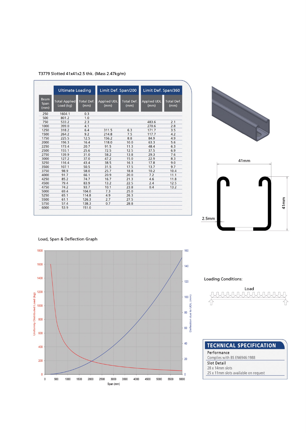#### T3779 Slotted 41x41x2.5 thk. (Mass 2.47kg/m)

| <b>Ultimate Loading</b>     |                                   |                           | Limit Def. Span/200        |                    | Limit Def. Span/360        |                           |
|-----------------------------|-----------------------------------|---------------------------|----------------------------|--------------------|----------------------------|---------------------------|
| <b>Beam</b><br>Span<br>(mm) | <b>Total Applied</b><br>Load (kg) | <b>Total Def.</b><br>(mm) | <b>Applied UDL</b><br>(mm) | Total Def.<br>(mm) | <b>Applied UDL</b><br>(mm) | <b>Total Def.</b><br>(mm) |
| 250                         | 1604.1                            | 0.3                       |                            |                    |                            |                           |
| 500                         | 801.2                             | 1.0                       |                            |                    |                            |                           |
| 750                         | 533.2                             | 2.3                       |                            |                    | 483.6                      | 2.1                       |
| 1000                        | 399.0                             | 4.1                       |                            |                    | 270.6                      | 2.8                       |
| 1250                        | 318.2                             | 6.4                       | 311.5                      | 6.3                | 171.7                      | 3.5                       |
| 1500                        | 264.2                             | 9.2                       | 214.8                      | 7.5                | 117.7                      | 4.2                       |
| 1750                        | 225.5                             | 12.5                      | 156.2                      | 8.8                | 84.9                       | 4.9                       |
| 2000                        | 196.3                             | 16.4                      | 118.0                      | 10.0               | 63.3                       | 5.6                       |
| 2250                        | 173.4                             | 20.7                      | 91.5                       | 11.3               | 48.4                       | 6.3                       |
| 2500                        | 155.1                             | 25.6                      | 72.5                       | 12.5               | 37.5                       | 6.9                       |
| 2750                        | 139.9                             | 31.0                      | 58.2                       | 13.8               | 29.3                       | 7.6                       |
| 3000                        | 127.2                             | 37.0                      | 47.2                       | 15.0               | 22.9                       | 8.3                       |
| 3250                        | 116.4                             | 43.4                      | 38.5                       | 16.3               | 17.8                       | 9.0                       |
| 3500                        | 107.1                             | 50.5                      | 31.5                       | 17.5               | 13.7                       | 9.7                       |
| 3750                        | 98.9                              | 58.0                      | 25.7                       | 18.8               | 10.2                       | 10.4                      |
| 4000                        | 91.7                              | 66.1                      | 20.9                       | 20.0               | 7.2                        | 11.1                      |
| 4250                        | 85.2                              | 74.7                      | 16.7                       | 21.3               | 4.6                        | 11.8                      |
| 4500                        | 79.4                              | 83.9                      | 13.2                       | 22.5               | 2.4                        | 12.5                      |
| 4750                        | 74.2                              | 93.7                      | 10.1                       | 23.8               | 0.4                        | 13.2                      |
| 5000                        | 69.4                              | 104.0                     | 7.3                        | 25.0               |                            |                           |
| 5250                        | 65.1                              | 114.8                     | 4.9                        | 26.3               |                            |                           |
| 5500                        | 61.1                              | 126.3                     | 2.7                        | 27.5               |                            |                           |
| 5750                        | 57.4                              | 138.3                     | 0.7                        | 28.8               |                            |                           |
| 6000                        | 53.9                              | 151.0                     |                            |                    |                            |                           |







Load, Span & Deflection Graph

Loading Conditions:



| <b>TECHNICAL SPECIFICATION</b>       |  |
|--------------------------------------|--|
| Performance                          |  |
| Complies with BS EN6946:1988         |  |
| Slot Detail                          |  |
| 28 x 14mm slots                      |  |
| 25 x 11mm slots available on request |  |